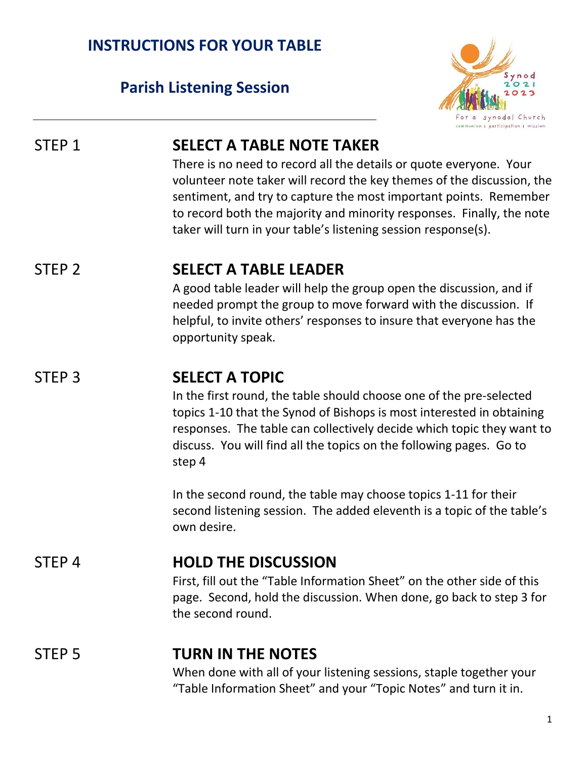### **INSTRUCTIONS FOR YOUR TABLE**

### **Parish Listening Session**



### STEP 1 **SELECT A TABLE NOTE TAKER**

There is no need to record all the details or quote everyone. Your volunteer note taker will record the key themes of the discussion, the sentiment, and try to capture the most important points. Remember to record both the majority and minority responses. Finally, the note taker will turn in your table's listening session response(s).

### STEP 2 **SELECT A TABLE LEADER**

A good table leader will help the group open the discussion, and if needed prompt the group to move forward with the discussion. If helpful, to invite others' responses to insure that everyone has the opportunity speak.

### STEP 3 **SELECT A TOPIC**

In the first round, the table should choose one of the pre-selected topics 1-10 that the Synod of Bishops is most interested in obtaining responses. The table can collectively decide which topic they want to discuss. You will find all the topics on the following pages. Go to step 4

In the second round, the table may choose topics 1-11 for their second listening session. The added eleventh is a topic of the table's own desire.

#### STEP 4 **HOLD THE DISCUSSION**

First, fill out the "Table Information Sheet" on the other side of this page. Second, hold the discussion. When done, go back to step 3 for the second round.

### STEP 5 **TURN IN THE NOTES**

When done with all of your listening sessions, staple together your "Table Information Sheet" and your "Topic Notes" and turn it in.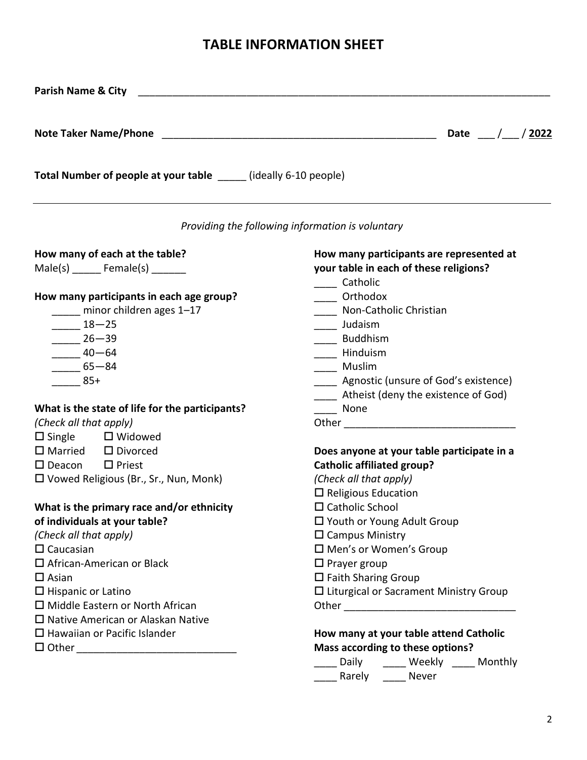#### **TABLE INFORMATION SHEET**

| <b>Parish Name &amp; City</b>                                      |                                                  |  |
|--------------------------------------------------------------------|--------------------------------------------------|--|
|                                                                    | Date / / 2022                                    |  |
| Total Number of people at your table _______ (ideally 6-10 people) |                                                  |  |
|                                                                    | Providing the following information is voluntary |  |
| How many of each at the table?                                     | How many participants are represented at         |  |
| $Male(s)$ Female(s) _______                                        | your table in each of these religions?           |  |
|                                                                    | ____ Catholic                                    |  |
| How many participants in each age group?                           | ____ Orthodox                                    |  |
| minor children ages 1-17                                           | ____ Non-Catholic Christian                      |  |
| $-18-25$                                                           | ____ Judaism                                     |  |
| $26 - 39$                                                          | ____ Buddhism                                    |  |
| $-40-64$                                                           | ____ Hinduism                                    |  |
| $-65 - 84$                                                         | ____ Muslim                                      |  |
| $85+$                                                              | _____ Agnostic (unsure of God's existence)       |  |
|                                                                    | ____ Atheist (deny the existence of God)         |  |
| What is the state of life for the participants?                    | <b>None</b>                                      |  |
| (Check all that apply)                                             |                                                  |  |
| $\Box$ Single $\Box$ Widowed                                       |                                                  |  |
| $\Box$ Married $\Box$ Divorced                                     | Does anyone at your table participate in a       |  |
| $\Box$ Deacon $\Box$ Priest                                        | <b>Catholic affiliated group?</b>                |  |
| $\square$ Vowed Religious (Br., Sr., Nun, Monk)                    | (Check all that apply)                           |  |
|                                                                    | $\Box$ Religious Education                       |  |
| What is the primary race and/or ethnicity                          | $\square$ Catholic School                        |  |
| of individuals at your table?                                      | □ Youth or Young Adult Group                     |  |
| (Check all that apply)                                             | $\Box$ Campus Ministry                           |  |
| $\Box$ Caucasian                                                   | □ Men's or Women's Group                         |  |
| $\Box$ African-American or Black                                   | $\Box$ Prayer group                              |  |
| $\Box$ Asian                                                       | $\square$ Faith Sharing Group                    |  |
| $\Box$ Hispanic or Latino                                          | □ Liturgical or Sacrament Ministry Group         |  |
| $\Box$ Middle Eastern or North African                             |                                                  |  |
| $\Box$ Native American or Alaskan Native                           |                                                  |  |
| $\Box$ Hawaiian or Pacific Islander                                | How many at your table attend Catholic           |  |
|                                                                    | Mass according to these options?                 |  |
|                                                                    | Daily _____ Weekly ____ Monthly                  |  |
|                                                                    | Rarely ______ Never                              |  |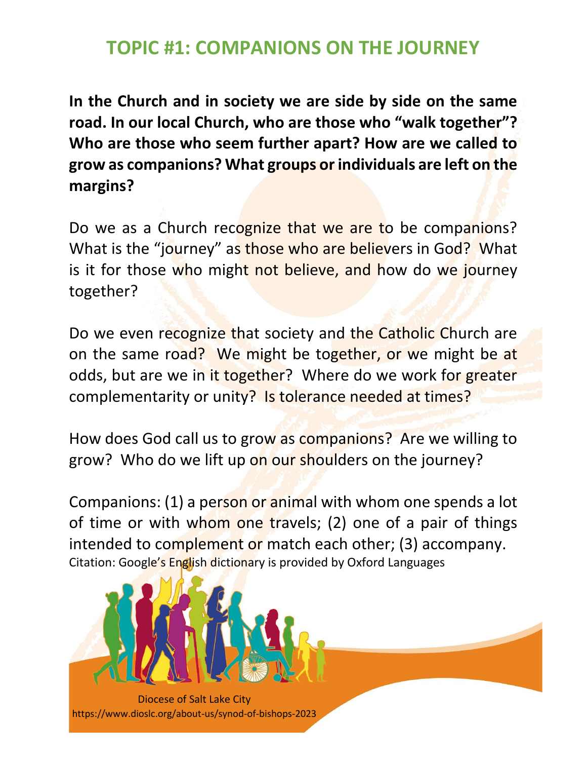## **TOPIC #1: COMPANIONS ON THE JOURNEY**

**In the Church and in society we are side by side on the same road. In our local Church, who are those who "walk together"? Who are those who seem further apart? How are we called to grow as companions? What groups or individuals are left on the margins?**

Do we as a Church recognize that we are to be companions? What is the "journey" as those who are believers in God? What is it for those who might not believe, and how do we journey together?

Do we even recognize that society and the Catholic Church are on the same road? We might be together, or we might be at odds, but are we in it together? Where do we work for greater complementarity or unity? Is tolerance needed at times?

How does God call us to grow as companions? Are we willing to grow? Who do we lift up on our shoulders on the journey?

Companions: (1) a person or animal with whom one spends a lot of time or with whom one travels; (2) one of a pair of things intended to complement or match each other; (3) accompany. Citation: Google's English dictionary is provided by Oxford Languages

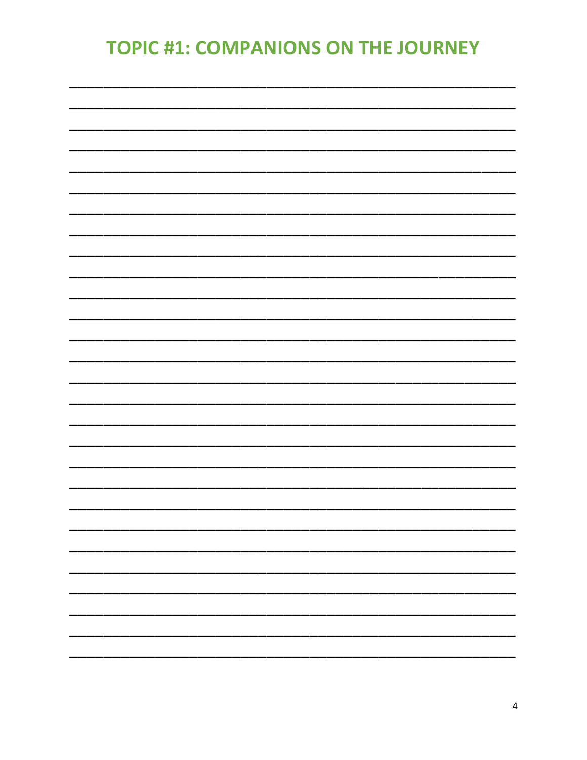# **TOPIC #1: COMPANIONS ON THE JOURNEY**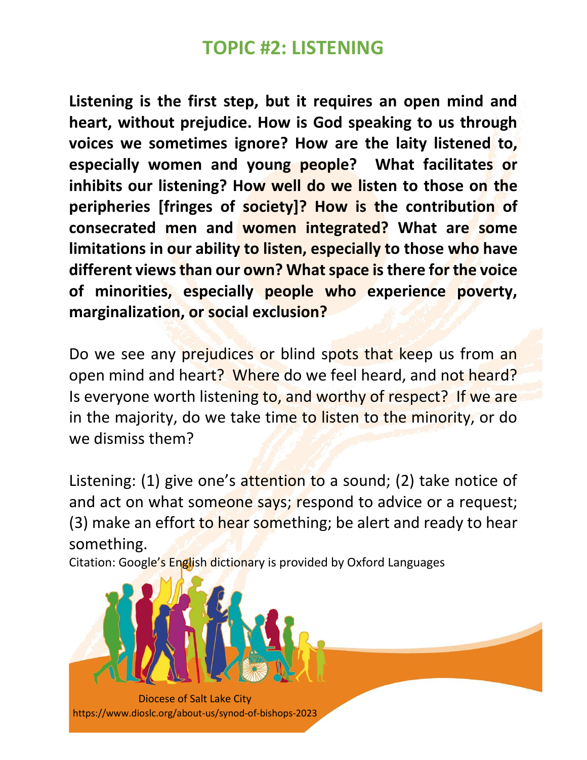## **TOPIC #2: LISTENING**

**Listening is the first step, but it requires an open mind and heart, without prejudice. How is God speaking to us through voices we sometimes ignore? How are the laity listened to, especially women and young people? What facilitates or inhibits our listening? How well do we listen to those on the peripheries [fringes of society]? How is the contribution of consecrated men and women integrated? What are some limitations in our ability to listen, especially to those who have different views than our own? What space is there for the voice of minorities, especially people who experience poverty, marginalization, or social exclusion?**

Do we see any prejudices or blind spots that keep us from an open mind and heart? Where do we feel heard, and not heard? Is everyone worth listening to, and worthy of respect? If we are in the majority, do we take time to listen to the minority, or do we dismiss them?

Listening: (1) give one's attention to a sound; (2) take notice of and act on what someone says; respond to advice or a request; (3) make an effort to hear something; be alert and ready to hear something.

Citation: Google's English dictionary is provided by Oxford Languages

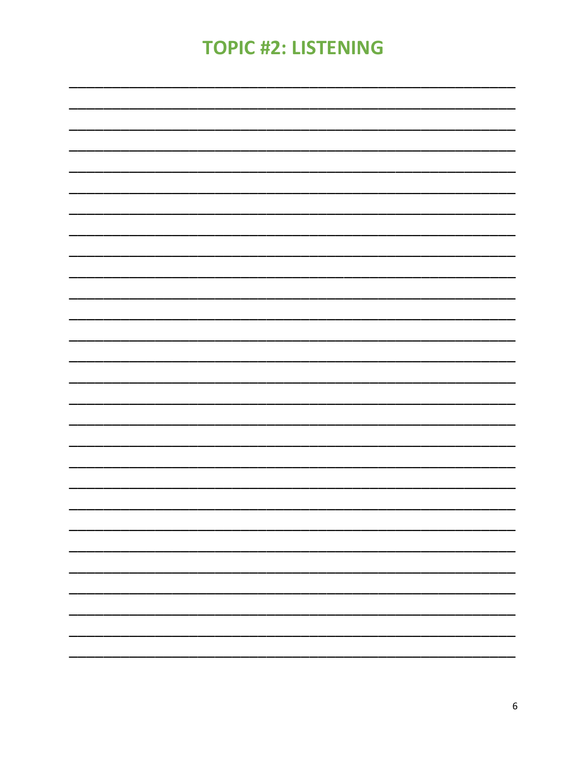# **TOPIC #2: LISTENING**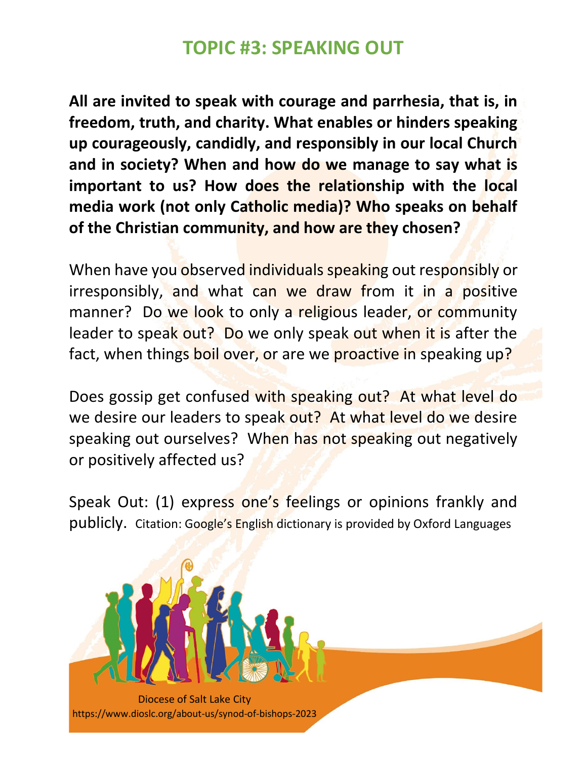## **TOPIC #3: SPEAKING OUT**

**All are invited to speak with courage and parrhesia, that is, in freedom, truth, and charity. What enables or hinders speaking up courageously, candidly, and responsibly in our local Church and in society? When and how do we manage to say what is important to us? How does the relationship with the local media work (not only Catholic media)? Who speaks on behalf of the Christian community, and how are they chosen?**

When have you observed individuals speaking out responsibly or irresponsibly, and what can we draw from it in a positive manner? Do we look to only a religious leader, or community leader to speak out? Do we only speak out when it is after the fact, when things boil over, or are we proactive in speaking up?

Does gossip get confused with speaking out? At what level do we desire our leaders to speak out? At what level do we desire speaking out ourselves? When has not speaking out negatively or positively affected us?

Speak Out: (1) express one's feelings or opinions frankly and publicly. Citation: Google's English dictionary is provided by Oxford Languages

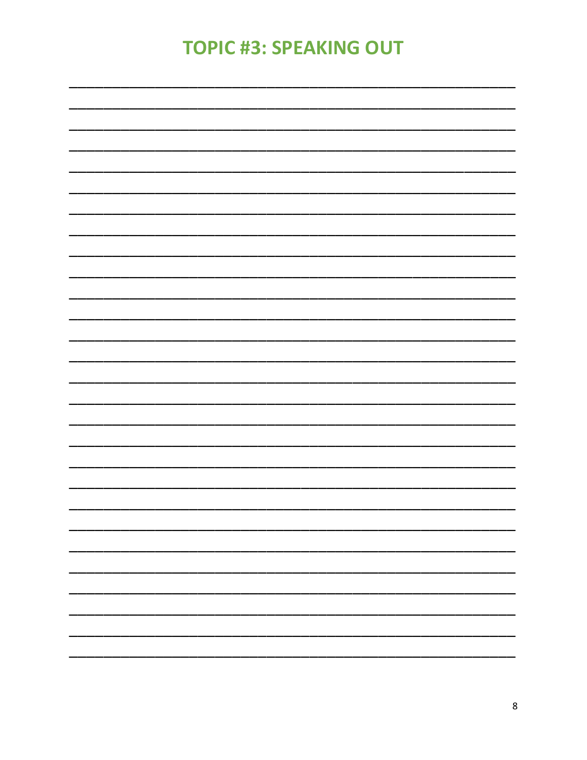# **TOPIC #3: SPEAKING OUT**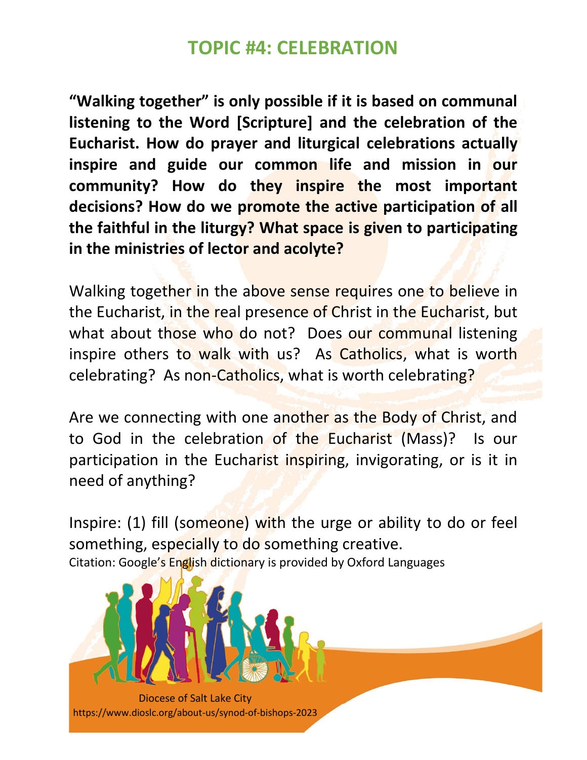## **TOPIC #4: CELEBRATION**

**"Walking together" is only possible if it is based on communal listening to the Word [Scripture] and the celebration of the Eucharist. How do prayer and liturgical celebrations actually inspire and guide our common life and mission in our community? How do they inspire the most important decisions? How do we promote the active participation of all the faithful in the liturgy? What space is given to participating in the ministries of lector and acolyte?**

Walking together in the above sense requires one to believe in the Eucharist, in the real presence of Christ in the Eucharist, but what about those who do not? Does our communal listening inspire others to walk with us? As Catholics, what is worth celebrating? As non-Catholics, what is worth celebrating?

Are we connecting with one another as the Body of Christ, and to God in the celebration of the Eucharist (Mass)? Is our participation in the Eucharist inspiring, invigorating, or is it in need of anything?

Inspire: (1) fill (someone) with the urge or ability to do or feel something, especially to do something creative. Citation: Google's English dictionary is provided by Oxford Languages

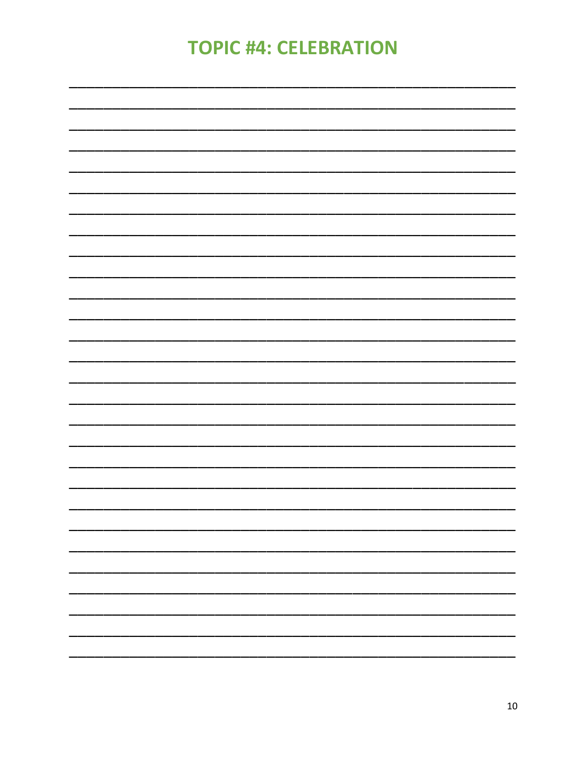## **TOPIC #4: CELEBRATION**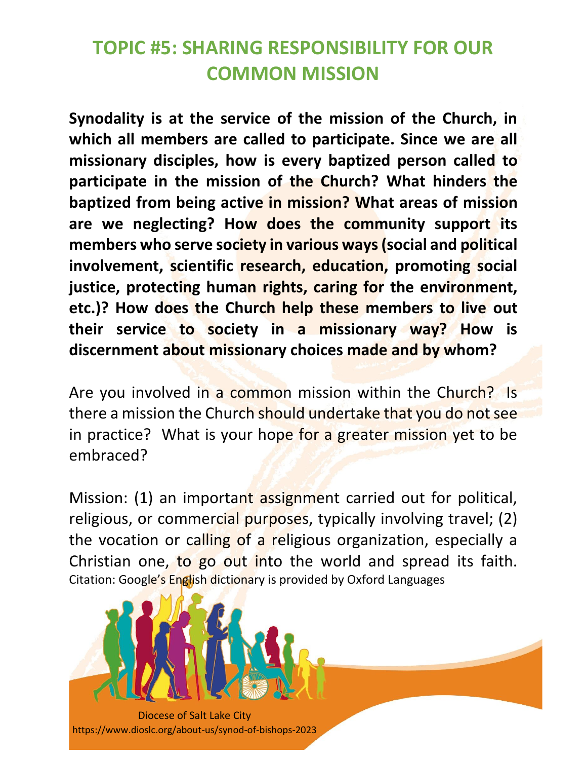# **TOPIC #5: SHARING RESPONSIBILITY FOR OUR COMMON MISSION**

**Synodality is at the service of the mission of the Church, in which all members are called to participate. Since we are all missionary disciples, how is every baptized person called to participate in the mission of the Church? What hinders the baptized from being active in mission? What areas of mission are we neglecting? How does the community support its members who serve society in various ways (social and political involvement, scientific research, education, promoting social justice, protecting human rights, caring for the environment, etc.)? How does the Church help these members to live out their service to society in a missionary way? How is discernment about missionary choices made and by whom?**

Are you involved in a common mission within the Church? Is there a mission the Church should undertake that you do not see in practice? What is your hope for a greater mission yet to be embraced?

Mission: (1) an important assignment carried out for political, religious, or commercial purposes, typically involving travel; (2) the vocation or calling of a religious organization, especially a Christian one, to go out into the world and spread its faith. Citation: Google's English dictionary is provided by Oxford Languages

11

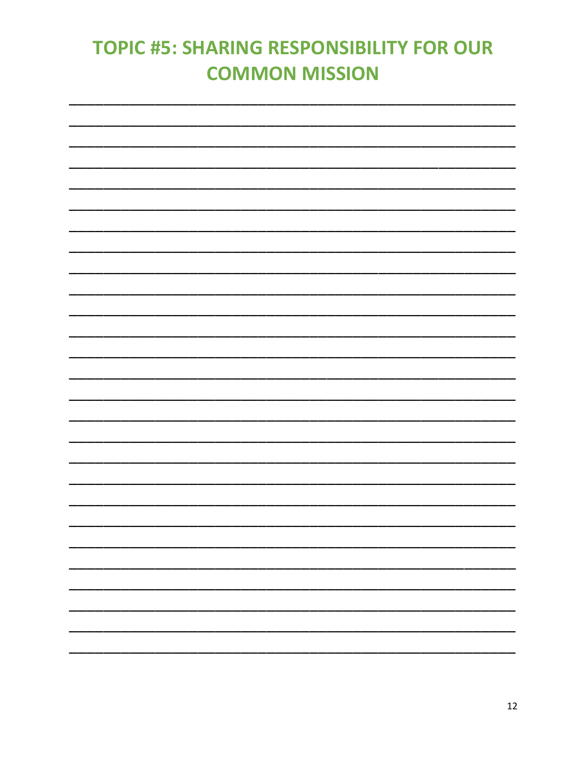# **TOPIC #5: SHARING RESPONSIBILITY FOR OUR COMMON MISSION**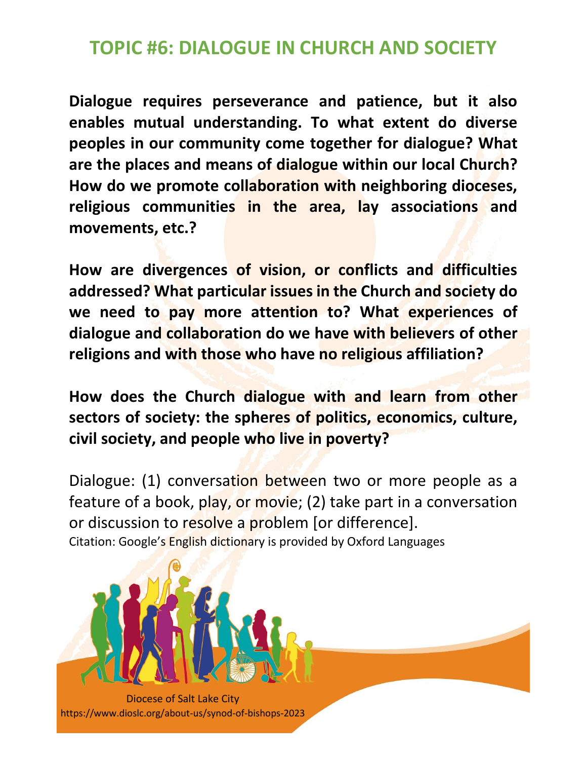## **TOPIC #6: DIALOGUE IN CHURCH AND SOCIETY**

**Dialogue requires perseverance and patience, but it also enables mutual understanding. To what extent do diverse peoples in our community come together for dialogue? What are the places and means of dialogue within our local Church? How do we promote collaboration with neighboring dioceses, religious communities in the area, lay associations and movements, etc.?**

**How are divergences of vision, or conflicts and difficulties addressed? What particular issues in the Church and society do we need to pay more attention to? What experiences of dialogue and collaboration do we have with believers of other religions and with those who have no religious affiliation?**

**How does the Church dialogue with and learn from other sectors of society: the spheres of politics, economics, culture, civil society, and people who live in poverty?**

Dialogue: (1) conversation between two or more people as a feature of a book, play, or movie; (2) take part in a conversation or discussion to resolve a problem [or difference]. Citation: Google's English dictionary is provided by Oxford Languages

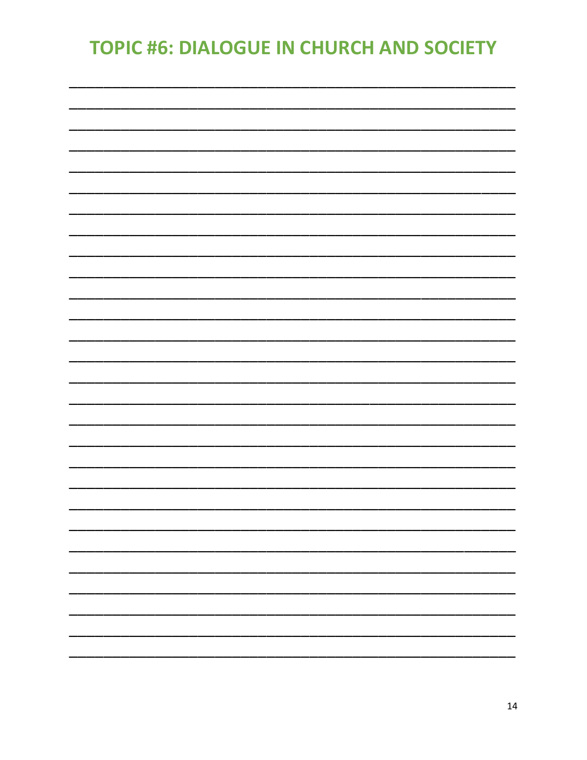# **TOPIC #6: DIALOGUE IN CHURCH AND SOCIETY**

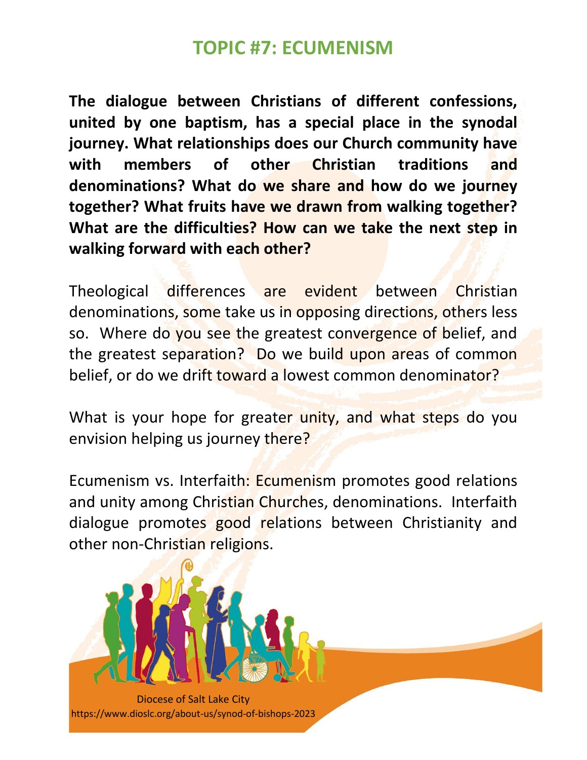### **TOPIC #7: ECUMENISM**

**The dialogue between Christians of different confessions, united by one baptism, has a special place in the synodal journey. What relationships does our Church community have with members of other Christian traditions and denominations? What do we share and how do we journey together? What fruits have we drawn from walking together? What are the difficulties? How can we take the next step in walking forward with each other?** 

Theological differences are evident between Christian denominations, some take us in opposing directions, others less so. Where do you see the greatest convergence of belief, and the greatest separation? Do we build upon areas of common belief, or do we drift toward a lowest common denominator?

What is your hope for greater unity, and what steps do you envision helping us journey there?

Ecumenism vs. Interfaith: Ecumenism promotes good relations and unity among Christian Churches, denominations. Interfaith dialogue promotes good relations between Christianity and other non-Christian religions.

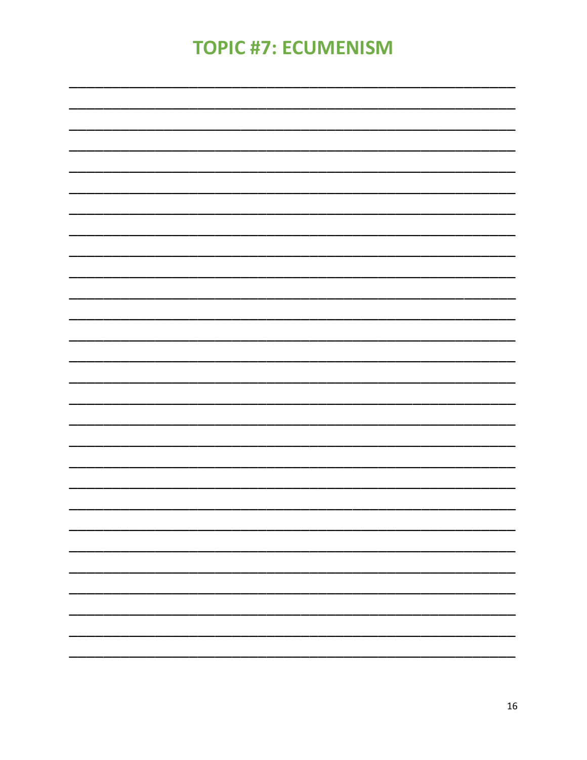# **TOPIC #7: ECUMENISM**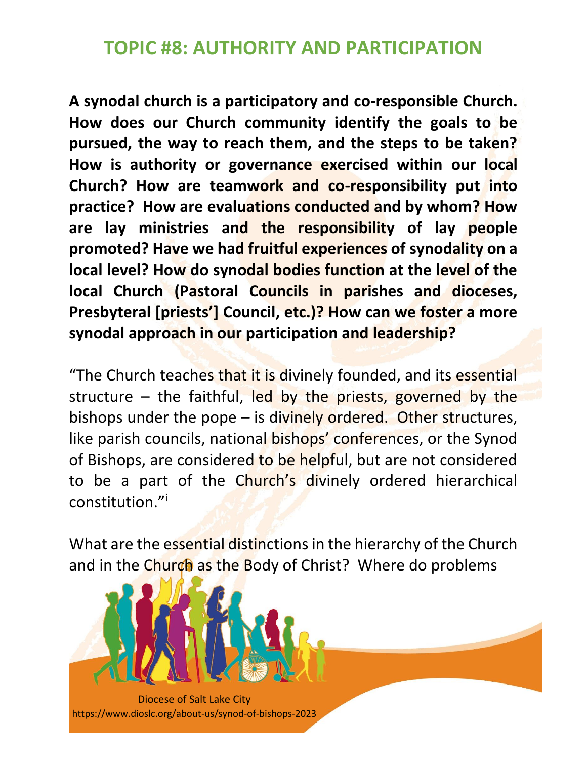**A synodal church is a participatory and co-responsible Church. How does our Church community identify the goals to be pursued, the way to reach them, and the steps to be taken? How is authority or governance exercised within our local Church? How are teamwork and co-responsibility put into practice? How are evaluations conducted and by whom? How are lay ministries and the responsibility of lay people promoted? Have we had fruitful experiences of synodality on a local level? How do synodal bodies function at the level of the local Church (Pastoral Councils in parishes and dioceses, Presbyteral [priests'] Council, etc.)? How can we foster a more synodal approach in our participation and leadership?**

"The Church teaches that it is divinely founded, and its essential structure – the faithful, led by the priests, governed by the bishops under the pope  $-$  is divinely ordered. Other structures, like parish councils, national bishops' conferences, or the Synod of Bishops, are considered to be helpful, but are not considered to be a part of the Church's divinely ordered hierarchical constitution."<sup>i</sup>

What are the essential distinctions in the hierarchy of the Church and in the Church as the Body of Christ? Where do problems

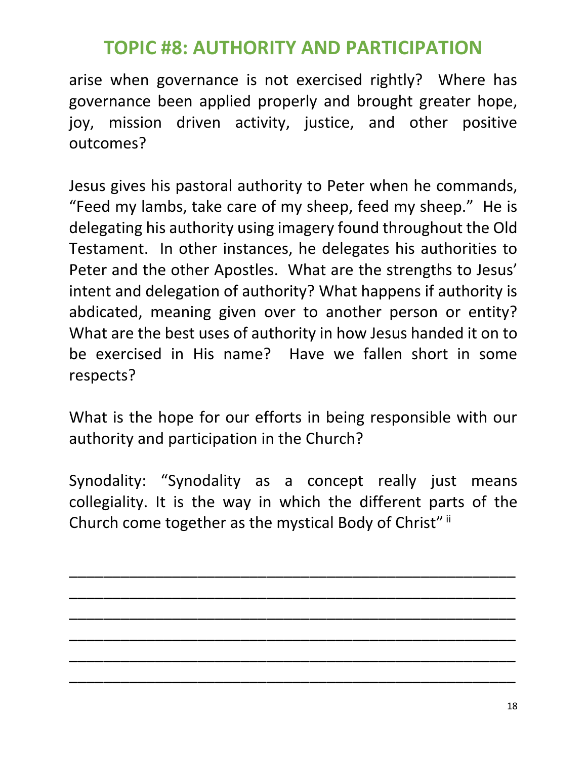arise when governance is not exercised rightly? Where has governance been applied properly and brought greater hope, joy, mission driven activity, justice, and other positive outcomes?

Jesus gives his pastoral authority to Peter when he commands, "Feed my lambs, take care of my sheep, feed my sheep." He is delegating his authority using imagery found throughout the Old Testament. In other instances, he delegates his authorities to Peter and the other Apostles. What are the strengths to Jesus' intent and delegation of authority? What happens if authority is abdicated, meaning given over to another person or entity? What are the best uses of authority in how Jesus handed it on to be exercised in His name? Have we fallen short in some respects?

What is the hope for our efforts in being responsible with our authority and participation in the Church?

Synodality: "Synodality as a concept really just means collegiality. It is the way in which the different parts of the Church come together as the mystical Body of Christ" ii

\_\_\_\_\_\_\_\_\_\_\_\_\_\_\_\_\_\_\_\_\_\_\_\_\_\_\_\_\_\_\_\_\_\_\_\_\_\_\_\_\_\_\_\_\_\_\_\_\_\_\_\_

\_\_\_\_\_\_\_\_\_\_\_\_\_\_\_\_\_\_\_\_\_\_\_\_\_\_\_\_\_\_\_\_\_\_\_\_\_\_\_\_\_\_\_\_\_\_\_\_\_\_\_\_

\_\_\_\_\_\_\_\_\_\_\_\_\_\_\_\_\_\_\_\_\_\_\_\_\_\_\_\_\_\_\_\_\_\_\_\_\_\_\_\_\_\_\_\_\_\_\_\_\_\_\_\_

\_\_\_\_\_\_\_\_\_\_\_\_\_\_\_\_\_\_\_\_\_\_\_\_\_\_\_\_\_\_\_\_\_\_\_\_\_\_\_\_\_\_\_\_\_\_\_\_\_\_\_\_

\_\_\_\_\_\_\_\_\_\_\_\_\_\_\_\_\_\_\_\_\_\_\_\_\_\_\_\_\_\_\_\_\_\_\_\_\_\_\_\_\_\_\_\_\_\_\_\_\_\_\_\_

\_\_\_\_\_\_\_\_\_\_\_\_\_\_\_\_\_\_\_\_\_\_\_\_\_\_\_\_\_\_\_\_\_\_\_\_\_\_\_\_\_\_\_\_\_\_\_\_\_\_\_\_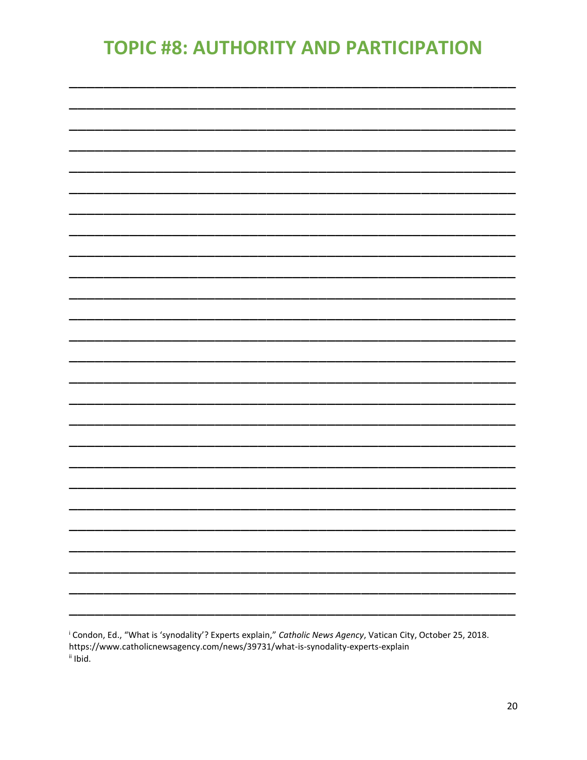<sup>i</sup> Condon, Ed., "What is 'synodality'? Experts explain," Catholic News Agency, Vatican City, October 25, 2018. https://www.catholicnewsagency.com/news/39731/what-is-synodality-experts-explain ii Ibid.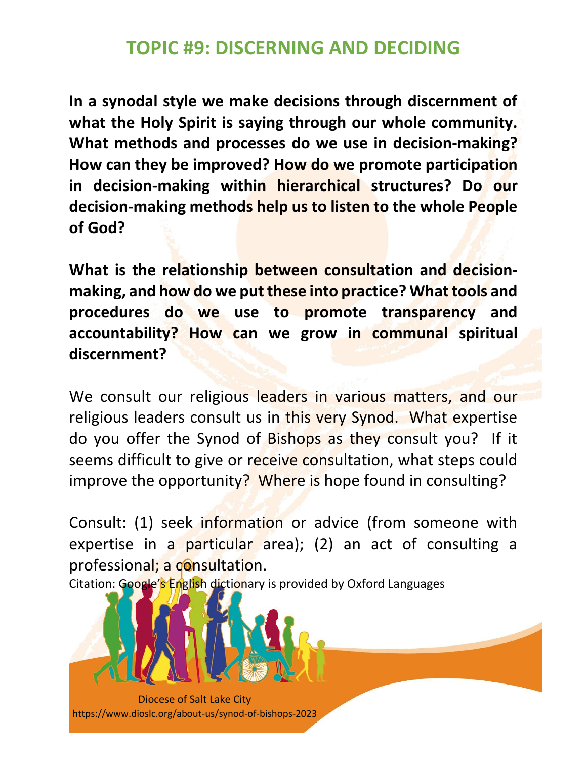## **TOPIC #9: DISCERNING AND DECIDING**

**In a synodal style we make decisions through discernment of what the Holy Spirit is saying through our whole community. What methods and processes do we use in decision-making? How can they be improved? How do we promote participation in decision-making within hierarchical structures? Do our decision-making methods help us to listen to the whole People of God?**

**What is the relationship between consultation and decisionmaking, and how do we put these into practice? What tools and procedures do we use to promote transparency and accountability? How can we grow in communal spiritual discernment?**

We consult our religious leaders in various matters, and our religious leaders consult us in this very Synod. What expertise do you offer the Synod of Bishops as they consult you? If it seems difficult to give or receive consultation, what steps could improve the opportunity? Where is hope found in consulting?

Consult: (1) seek information or advice (from someone with expertise in a particular area); (2) an act of consulting a professional; a consultation.

Citation: Google's English dictionary is provided by Oxford Languages

Diocese of Salt Lake City https://www.dioslc.org/about-us/synod-of-bishops-2023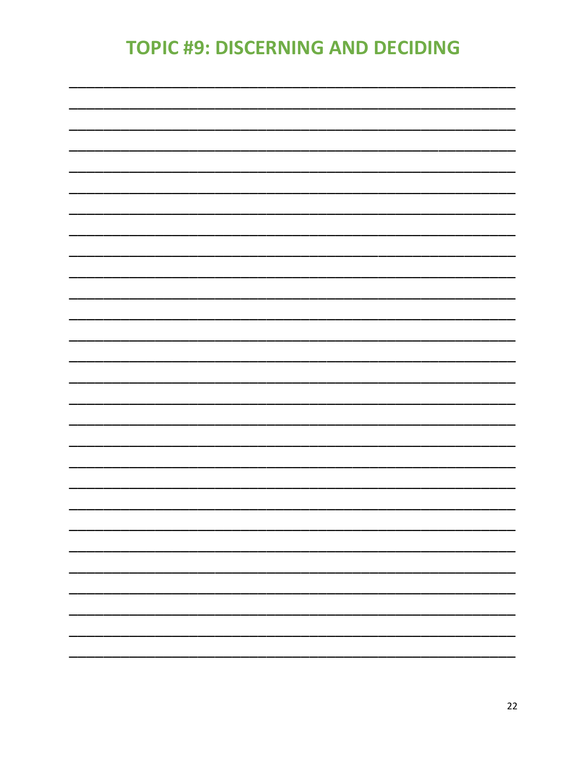# **TOPIC #9: DISCERNING AND DECIDING**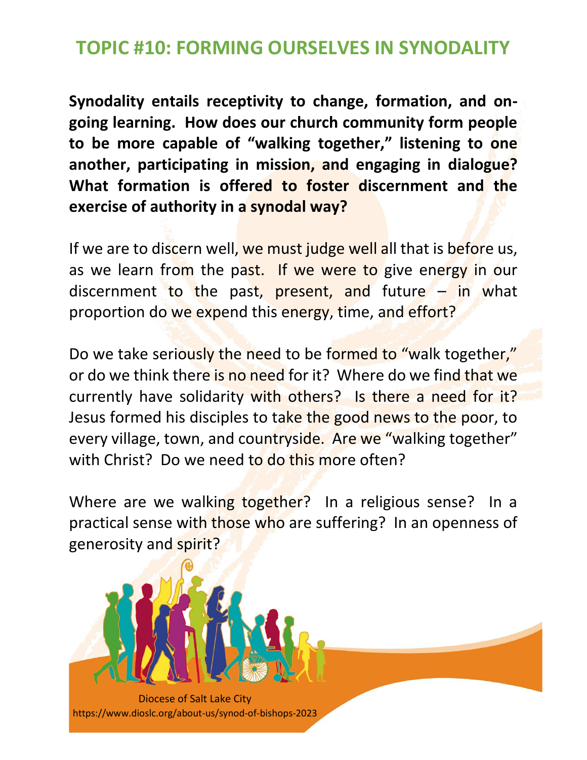## **TOPIC #10: FORMING OURSELVES IN SYNODALITY**

**Synodality entails receptivity to change, formation, and ongoing learning. How does our church community form people to be more capable of "walking together," listening to one another, participating in mission, and engaging in dialogue? What formation is offered to foster discernment and the exercise of authority in a synodal way?**

If we are to discern well, we must judge well all that is before us, as we learn from the past. If we were to give energy in our discernment to the past, present, and future  $-$  in what proportion do we expend this energy, time, and effort?

Do we take seriously the need to be formed to "walk together," or do we think there is no need for it? Where do we find that we currently have solidarity with others? Is there a need for it? Jesus formed his disciples to take the good news to the poor, to every village, town, and countryside. Are we "walking together" with Christ? Do we need to do this more often?

Where are we walking together? In a religious sense? In a practical sense with those who are suffering? In an openness of generosity and spirit?

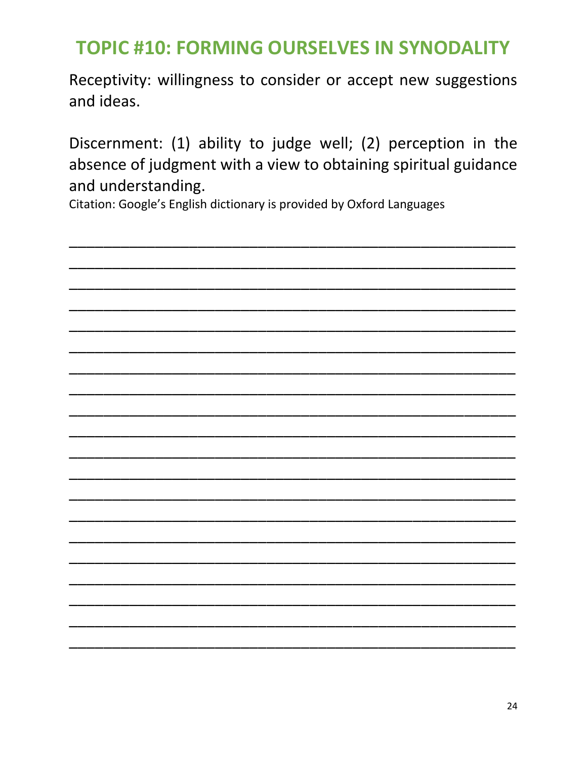# **TOPIC #10: FORMING OURSELVES IN SYNODALITY**

Receptivity: willingness to consider or accept new suggestions and ideas.

Discernment: (1) ability to judge well; (2) perception in the absence of judgment with a view to obtaining spiritual guidance and understanding.

Citation: Google's English dictionary is provided by Oxford Languages

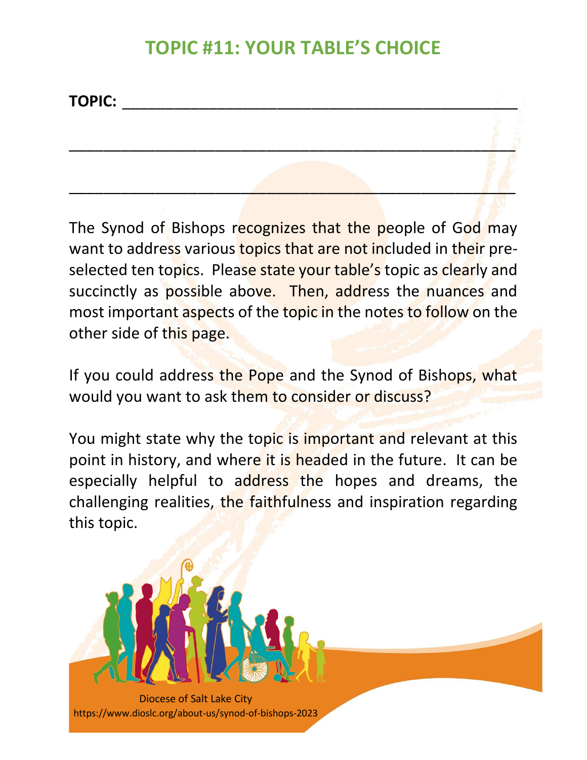## **TOPIC #11: YOUR TABLE'S CHOICE**

\_\_\_\_\_\_\_\_\_\_\_\_\_\_\_\_\_\_\_\_\_\_\_\_\_\_\_\_\_\_\_\_\_\_\_\_\_\_\_\_\_\_\_\_\_\_\_\_\_\_\_\_

\_\_\_\_\_\_\_\_\_\_\_\_\_\_\_\_\_\_\_\_\_\_\_\_\_\_\_\_\_\_\_\_\_\_\_\_\_\_\_\_\_\_\_\_\_\_\_\_\_\_\_\_

**TOPIC:** \_\_\_\_\_\_\_\_\_\_\_\_\_\_\_\_\_\_\_\_\_\_\_\_\_\_\_\_\_\_\_\_\_\_\_\_\_\_\_\_\_\_\_\_\_\_

The Synod of Bishops recognizes that the people of God may want to address various topics that are not included in their preselected ten topics. Please state your table's topic as clearly and succinctly as possible above. Then, address the nuances and most important aspects of the topic in the notes to follow on the other side of this page.

If you could address the Pope and the Synod of Bishops, what would you want to ask them to consider or discuss?

You might state why the topic is important and relevant at this point in history, and where it is headed in the future. It can be especially helpful to address the hopes and dreams, the challenging realities, the faithfulness and inspiration regarding this topic.